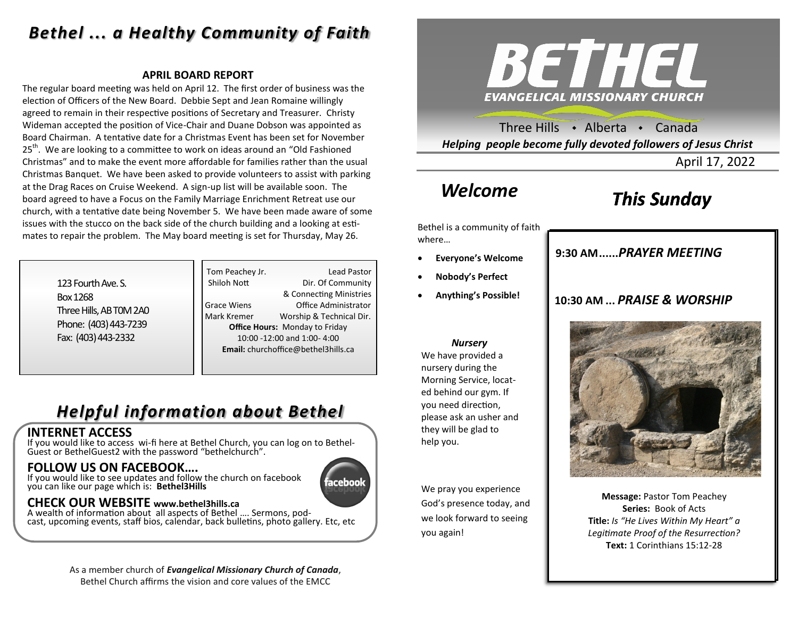## *Bethel ... a Healthy Community of Faith*

#### **APRIL BOARD REPORT**

The regular board meeting was held on April 12. The first order of business was the election of Officers of the New Board. Debbie Sept and Jean Romaine willingly agreed to remain in their respective positions of Secretary and Treasurer. Christy Wideman accepted the position of Vice-Chair and Duane Dobson was appointed as Board Chairman. A tentative date for a Christmas Event has been set for November 25<sup>th</sup>. We are looking to a committee to work on ideas around an "Old Fashioned" Christmas" and to make the event more affordable for families rather than the usual Christmas Banquet. We have been asked to provide volunteers to assist with parking at the Drag Races on Cruise Weekend. A sign-up list will be available soon. The board agreed to have a Focus on the Family Marriage Enrichment Retreat use our church, with a tentative date being November 5. We have been made aware of some issues with the stucco on the back side of the church building and a looking at estimates to repair the problem. The May board meeting is set for Thursday, May 26.

123 Fourth Ave. S. Box 1268 Three Hills, AB T0M 2A0 Phone: (403) 443-7239 Fax: (403) 443-2332

Tom Peachey Jr. **Lead Pastor** Shiloh Nott Dir. Of Community & Connecting Ministries Grace Wiens Office Administrator Mark Kremer Worship & Technical Dir. **Office Hours:** Monday to Friday 10:00 -12:00 and 1:00- 4:00 **Email:** churchoffice@bethel3hills.ca

# *Helpful information about Bethel*

### **INTERNET ACCESS**

If you would like to access wi-fi here at Bethel Church, you can log on to Bethel-Guest or BethelGuest2 with the password "bethelchurch".

### **FOLLOW US ON FACEBOOK….**

If you would like to see updates and follow the church on facebook you can like our page which is: **Bethel3Hills**

### **CHECK OUR WEBSITE www.bethel3hills.ca**

A wealth of information about all aspects of Bethel …. Sermons, podcast, upcoming events, staff bios, calendar, back bulletins, photo gallery. Etc, etc

#### As a member church of *Evangelical Missionary Church of Canada*, Bethel Church affirms the vision and core values of the EMCC



Three Hills  $\cdot$  Alberta  $\cdot$  Canada *Helping people become fully devoted followers of Jesus Christ*

April 17, 2022

## *Welcome*

# *This Sunday*

Bethel is a community of faith where…

- **Everyone's Welcome**
- **Nobody's Perfect**
- **Anything's Possible!**

#### *Nursery*

We have provided a nursery during the Morning Service, located behind our gym. If you need direction, please ask an usher and they will be glad to help you.

We pray you experience God's presence today, and we look forward to seeing you again!

### **9:30 AM......***SUNDAY SCHOOL* **9:30 AM......***PRAYER MEETING*

### **10:30 AM ...** *PRAISE & WORSHIP*



**Message:** Pastor Tom Peachey **Series:** Book of Acts **Title:** *Is "He Lives Within My Heart" a Legitimate Proof of the Resurrection?* **Text:** 1 Corinthians 15:12-28